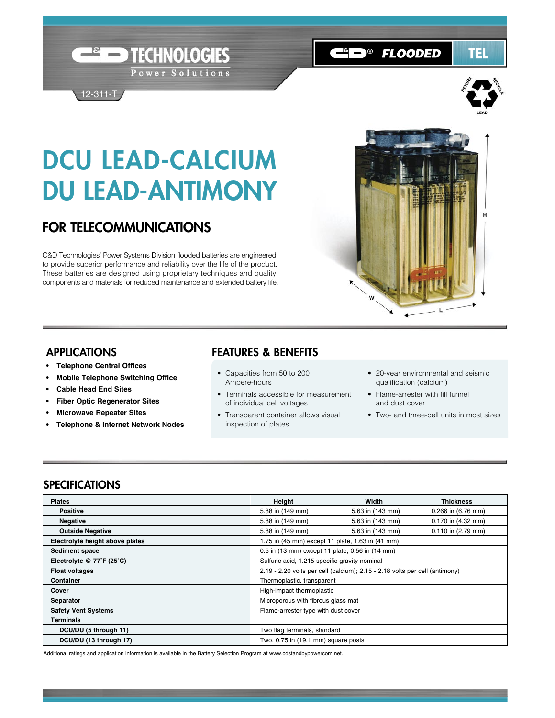# DCU LEAD-CALCIUM DU LEAD-ANTIMONY

**Example TECHNOLOGIES** 

Power Solutions

# FOR TELECOMMUNICATIONS

12-311-T

C&D Technologies' Power Systems Division flooded batteries are engineered to provide superior performance and reliability over the life of the product. These batteries are designed using proprietary techniques and quality components and materials for reduced maintenance and extended battery life.



**CHD® FLOODED** 

#### APPLICATIONS

- **Telephone Central Offices**
- **• Mobile Telephone Switching Office**
- **• Cable Head End Sites**
- **• Fiber Optic Regenerator Sites**
- **• Microwave Repeater Sites**
- **• Telephone & Internet Network Nodes**

#### FEATURES & BENEFITS

- Capacities from 50 to 200 Ampere-hours
- Terminals accessible for measurement of individual cell voltages
- Transparent container allows visual inspection of plates
- 20-year environmental and seismic qualification (calcium)
- Flame-arrester with fill funnel and dust cover
- Two- and three-cell units in most sizes

### **SPECIFICATIONS**

| <b>Plates</b>                   | Height                                                                      | Width            | <b>Thickness</b>       |  |  |  |
|---------------------------------|-----------------------------------------------------------------------------|------------------|------------------------|--|--|--|
| <b>Positive</b>                 | 5.88 in (149 mm)                                                            | 5.63 in (143 mm) | 0.266 in (6.76 mm)     |  |  |  |
| <b>Negative</b>                 | 5.88 in (149 mm)                                                            | 5.63 in (143 mm) | 0.170 in (4.32 mm)     |  |  |  |
| <b>Outside Negative</b>         | 5.88 in (149 mm)                                                            | 5.63 in (143 mm) | $0.110$ in $(2.79$ mm) |  |  |  |
| Electrolyte height above plates | 1.75 in (45 mm) except 11 plate, 1.63 in (41 mm)                            |                  |                        |  |  |  |
| Sediment space                  | 0.5 in (13 mm) except 11 plate, 0.56 in (14 mm)                             |                  |                        |  |  |  |
| Electrolyte @ 77°F (25°C)       | Sulfuric acid, 1.215 specific gravity nominal                               |                  |                        |  |  |  |
| <b>Float voltages</b>           | 2.19 - 2.20 volts per cell (calcium); 2.15 - 2.18 volts per cell (antimony) |                  |                        |  |  |  |
| Container                       | Thermoplastic, transparent                                                  |                  |                        |  |  |  |
| Cover                           | High-impact thermoplastic                                                   |                  |                        |  |  |  |
| <b>Separator</b>                | Microporous with fibrous glass mat                                          |                  |                        |  |  |  |
| <b>Safety Vent Systems</b>      | Flame-arrester type with dust cover                                         |                  |                        |  |  |  |
| Terminals                       |                                                                             |                  |                        |  |  |  |
| DCU/DU (5 through 11)           | Two flag terminals, standard                                                |                  |                        |  |  |  |
| DCU/DU (13 through 17)          | Two, 0.75 in (19.1 mm) square posts                                         |                  |                        |  |  |  |

Additional ratings and application information is available in the Battery Selection Program at www.cdstandbypowercom.net.



TEL